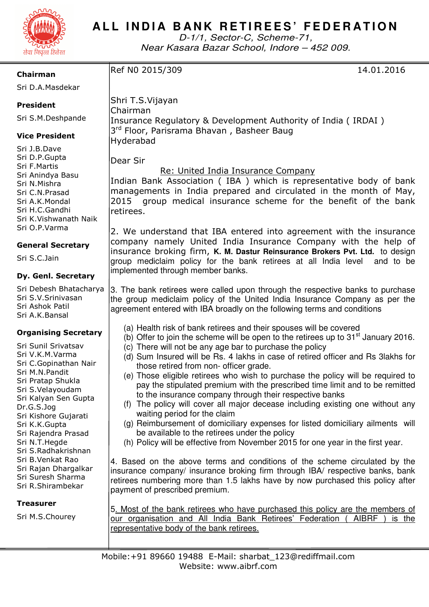

# **ALL INDIA BANK RETIREES' FEDERATION**

D-1/1, Sector-C, Scheme-71, Near Kasara Bazar School, Indore – 452 009.

| Chairman                                                                                                                                                                                                                                                                                                                                                                                      | Ref N0 2015/309<br>14.01.2016                                                                                                                                                                                                                                                                                                                                                                                                                                                                                                                                                                                                                                                                                                                                                                                                                                                                                                                                                                                                                                                                                                                                                                                 |
|-----------------------------------------------------------------------------------------------------------------------------------------------------------------------------------------------------------------------------------------------------------------------------------------------------------------------------------------------------------------------------------------------|---------------------------------------------------------------------------------------------------------------------------------------------------------------------------------------------------------------------------------------------------------------------------------------------------------------------------------------------------------------------------------------------------------------------------------------------------------------------------------------------------------------------------------------------------------------------------------------------------------------------------------------------------------------------------------------------------------------------------------------------------------------------------------------------------------------------------------------------------------------------------------------------------------------------------------------------------------------------------------------------------------------------------------------------------------------------------------------------------------------------------------------------------------------------------------------------------------------|
| Sri D.A.Masdekar                                                                                                                                                                                                                                                                                                                                                                              |                                                                                                                                                                                                                                                                                                                                                                                                                                                                                                                                                                                                                                                                                                                                                                                                                                                                                                                                                                                                                                                                                                                                                                                                               |
| <b>President</b>                                                                                                                                                                                                                                                                                                                                                                              | Shri T.S.Vijayan<br>Chairman                                                                                                                                                                                                                                                                                                                                                                                                                                                                                                                                                                                                                                                                                                                                                                                                                                                                                                                                                                                                                                                                                                                                                                                  |
| Sri S.M.Deshpande                                                                                                                                                                                                                                                                                                                                                                             | Insurance Regulatory & Development Authority of India (IRDAI)                                                                                                                                                                                                                                                                                                                                                                                                                                                                                                                                                                                                                                                                                                                                                                                                                                                                                                                                                                                                                                                                                                                                                 |
| <b>Vice President</b>                                                                                                                                                                                                                                                                                                                                                                         | 3 <sup>rd</sup> Floor, Parisrama Bhavan, Basheer Baug<br>Hyderabad                                                                                                                                                                                                                                                                                                                                                                                                                                                                                                                                                                                                                                                                                                                                                                                                                                                                                                                                                                                                                                                                                                                                            |
| Sri J.B.Dave<br>Sri D.P.Gupta<br>Sri F.Martis<br>Sri Anindya Basu<br>Sri N.Mishra<br>Sri C.N.Prasad<br>Sri A.K.Mondal<br>Sri H.C.Gandhi<br>Sri K.Vishwanath Naik<br>Sri O.P.Varma                                                                                                                                                                                                             | Dear Sir<br>Re: United India Insurance Company<br>Indian Bank Association (IBA) which is representative body of bank<br>managements in India prepared and circulated in the month of May,<br>2015<br>group medical insurance scheme for the benefit of the bank<br>retirees.<br>2. We understand that IBA entered into agreement with the insurance                                                                                                                                                                                                                                                                                                                                                                                                                                                                                                                                                                                                                                                                                                                                                                                                                                                           |
| <b>General Secretary</b>                                                                                                                                                                                                                                                                                                                                                                      | company namely United India Insurance Company with the help of                                                                                                                                                                                                                                                                                                                                                                                                                                                                                                                                                                                                                                                                                                                                                                                                                                                                                                                                                                                                                                                                                                                                                |
| Sri S.C.Jain                                                                                                                                                                                                                                                                                                                                                                                  | insurance broking firm, K. M. Dastur Reinsurance Brokers Pvt. Ltd. to design<br>group mediclaim policy for the bank retirees at all India level<br>and to be                                                                                                                                                                                                                                                                                                                                                                                                                                                                                                                                                                                                                                                                                                                                                                                                                                                                                                                                                                                                                                                  |
| Dy. Genl. Secretary                                                                                                                                                                                                                                                                                                                                                                           | implemented through member banks.                                                                                                                                                                                                                                                                                                                                                                                                                                                                                                                                                                                                                                                                                                                                                                                                                                                                                                                                                                                                                                                                                                                                                                             |
| Sri Debesh Bhatacharya<br>Sri S.V.Srinivasan<br>Sri Ashok Patil<br>Sri A.K.Bansal                                                                                                                                                                                                                                                                                                             | 3. The bank retirees were called upon through the respective banks to purchase<br>the group mediclaim policy of the United India Insurance Company as per the<br>agreement entered with IBA broadly on the following terms and conditions                                                                                                                                                                                                                                                                                                                                                                                                                                                                                                                                                                                                                                                                                                                                                                                                                                                                                                                                                                     |
| <b>Organising Secretary</b><br>Sri Sunil Srivatsav<br>Sri V.K.M.Varma<br>Sri C.Gopinathan Nair<br>Sri M.N.Pandit<br>Sri Pratap Shukla<br>Sri S.Velayoudam<br>Sri Kalyan Sen Gupta<br>Dr.G.S.Jog<br>Sri Kishore Gujarati<br>Sri K.K.Gupta<br>Sri Rajendra Prasad<br>Sri N.T.Hegde<br>Sri S.Radhakrishnan<br>Sri B.Venkat Rao<br>Sri Rajan Dhargalkar<br>Sri Suresh Sharma<br>Sri R.Shirambekar | (a) Health risk of bank retirees and their spouses will be covered<br>(b) Offer to join the scheme will be open to the retirees up to $31st$ January 2016.<br>(c) There will not be any age bar to purchase the policy<br>(d) Sum Insured will be Rs. 4 lakhs in case of retired officer and Rs 3lakhs for<br>those retired from non- officer grade.<br>(e) Those eligible retirees who wish to purchase the policy will be required to<br>pay the stipulated premium with the prescribed time limit and to be remitted<br>to the insurance company through their respective banks<br>(f) The policy will cover all major decease including existing one without any<br>waiting period for the claim<br>(g) Reimbursement of domiciliary expenses for listed domiciliary ailments will<br>be available to the retirees under the policy<br>(h) Policy will be effective from November 2015 for one year in the first year.<br>4. Based on the above terms and conditions of the scheme circulated by the<br>insurance company/ insurance broking firm through IBA/ respective banks, bank<br>retirees numbering more than 1.5 lakhs have by now purchased this policy after<br>payment of prescribed premium. |
| <b>Treasurer</b><br>Sri M.S.Chourey                                                                                                                                                                                                                                                                                                                                                           | 5. Most of the bank retirees who have purchased this policy are the members of<br>our organisation and All India Bank Retirees' Federation (<br><b>AIBRF</b><br>is the<br>representative body of the bank retirees.                                                                                                                                                                                                                                                                                                                                                                                                                                                                                                                                                                                                                                                                                                                                                                                                                                                                                                                                                                                           |